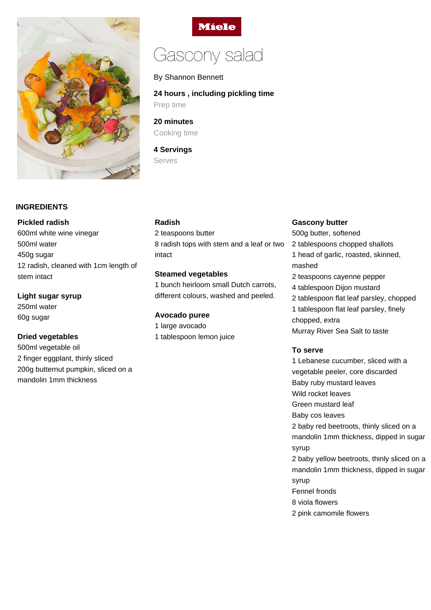

# **INGREDIENTS**

#### **Pickled radish**

600ml white wine vinegar 500ml water 450g sugar 12 radish, cleaned with 1cm length of stem intact

**Light sugar syrup**

250ml water 60g sugar

# **Dried vegetables**

500ml vegetable oil 2 finger eggplant, thinly sliced 200g butternut pumpkin, sliced on a mandolin 1mm thickness

**Miele** 

# Gascony salad

# By Shannon Bennett

# **24 hours , including pickling time**

Prep time

**20 minutes** Cooking time

**4 Servings** Serves

## **Radish**

# 2 teaspoons butter 8 radish tops with stem and a leaf or two intact

## **Steamed vegetables**

1 bunch heirloom small Dutch carrots, different colours, washed and peeled.

# **Avocado puree**

1 large avocado 1 tablespoon lemon juice

#### **Gascony butter**

500g butter, softened 2 tablespoons chopped shallots 1 head of garlic, roasted, skinned, mashed 2 teaspoons cayenne pepper 4 tablespoon Dijon mustard 2 tablespoon flat leaf parsley, chopped 1 tablespoon flat leaf parsley, finely chopped, extra Murray River Sea Salt to taste

#### **To serve**

1 Lebanese cucumber, sliced with a vegetable peeler, core discarded Baby ruby mustard leaves Wild rocket leaves Green mustard leaf Baby cos leaves 2 baby red beetroots, thinly sliced on a mandolin 1mm thickness, dipped in sugar syrup 2 baby yellow beetroots, thinly sliced on a mandolin 1mm thickness, dipped in sugar syrup Fennel fronds 8 viola flowers 2 pink camomile flowers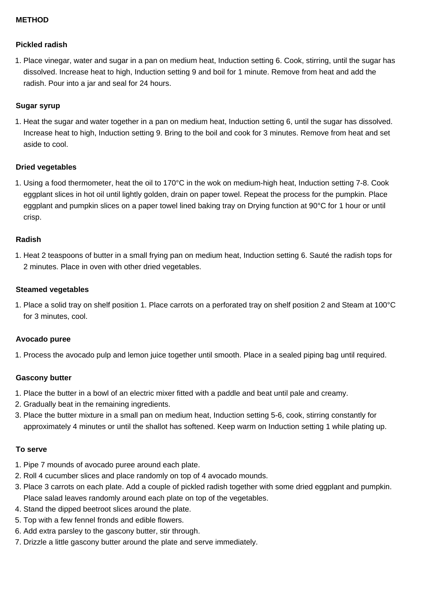# **METHOD**

#### **Pickled radish**

1. Place vinegar, water and sugar in a pan on medium heat, Induction setting 6. Cook, stirring, until the sugar has dissolved. Increase heat to high, Induction setting 9 and boil for 1 minute. Remove from heat and add the radish. Pour into a jar and seal for 24 hours.

## **Sugar syrup**

1. Heat the sugar and water together in a pan on medium heat, Induction setting 6, until the sugar has dissolved. Increase heat to high, Induction setting 9. Bring to the boil and cook for 3 minutes. Remove from heat and set aside to cool.

## **Dried vegetables**

1. Using a food thermometer, heat the oil to 170°C in the wok on medium-high heat, Induction setting 7-8. Cook eggplant slices in hot oil until lightly golden, drain on paper towel. Repeat the process for the pumpkin. Place eggplant and pumpkin slices on a paper towel lined baking tray on Drying function at 90°C for 1 hour or until crisp.

#### **Radish**

1. Heat 2 teaspoons of butter in a small frying pan on medium heat, Induction setting 6. Sauté the radish tops for 2 minutes. Place in oven with other dried vegetables.

#### **Steamed vegetables**

1. Place a solid tray on shelf position 1. Place carrots on a perforated tray on shelf position 2 and Steam at 100°C for 3 minutes, cool.

#### **Avocado puree**

1. Process the avocado pulp and lemon juice together until smooth. Place in a sealed piping bag until required.

# **Gascony butter**

- 1. Place the butter in a bowl of an electric mixer fitted with a paddle and beat until pale and creamy.
- 2. Gradually beat in the remaining ingredients.
- 3. Place the butter mixture in a small pan on medium heat, Induction setting 5-6, cook, stirring constantly for approximately 4 minutes or until the shallot has softened. Keep warm on Induction setting 1 while plating up.

#### **To serve**

- 1. Pipe 7 mounds of avocado puree around each plate.
- 2. Roll 4 cucumber slices and place randomly on top of 4 avocado mounds.
- 3. Place 3 carrots on each plate. Add a couple of pickled radish together with some dried eggplant and pumpkin. Place salad leaves randomly around each plate on top of the vegetables.
- 4. Stand the dipped beetroot slices around the plate.
- 5. Top with a few fennel fronds and edible flowers.
- 6. Add extra parsley to the gascony butter, stir through.
- 7. Drizzle a little gascony butter around the plate and serve immediately.